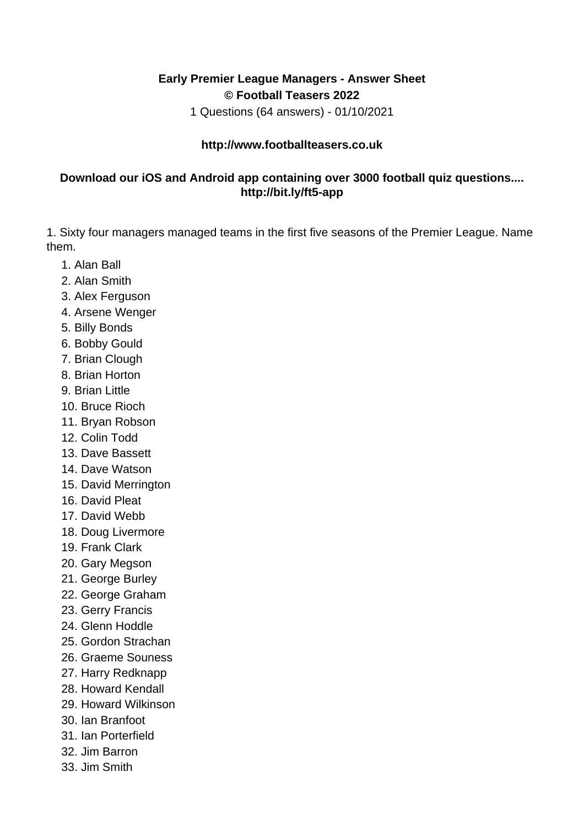## **Early Premier League Managers - Answer Sheet © Football Teasers 2022**

1 Questions (64 answers) - 01/10/2021

## **http://www.footballteasers.co.uk**

## **Download our iOS and Android app containing over 3000 football quiz questions.... http://bit.ly/ft5-app**

1. Sixty four managers managed teams in the first five seasons of the Premier League. Name them.

- 1. Alan Ball
- 2. Alan Smith
- 3. Alex Ferguson
- 4. Arsene Wenger
- 5. Billy Bonds
- 6. Bobby Gould
- 7. Brian Clough
- 8. Brian Horton
- 9. Brian Little
- 10. Bruce Rioch
- 11. Bryan Robson
- 12. Colin Todd
- 13. Dave Bassett
- 14. Dave Watson
- 15. David Merrington
- 16. David Pleat
- 17. David Webb
- 18. Doug Livermore
- 19. Frank Clark
- 20. Gary Megson
- 21. George Burley
- 22. George Graham
- 23. Gerry Francis
- 24. Glenn Hoddle
- 25. Gordon Strachan
- 26. Graeme Souness
- 27. Harry Redknapp
- 28. Howard Kendall
- 29. Howard Wilkinson
- 30. Ian Branfoot
- 31. Ian Porterfield
- 32. Jim Barron
- 33. Jim Smith